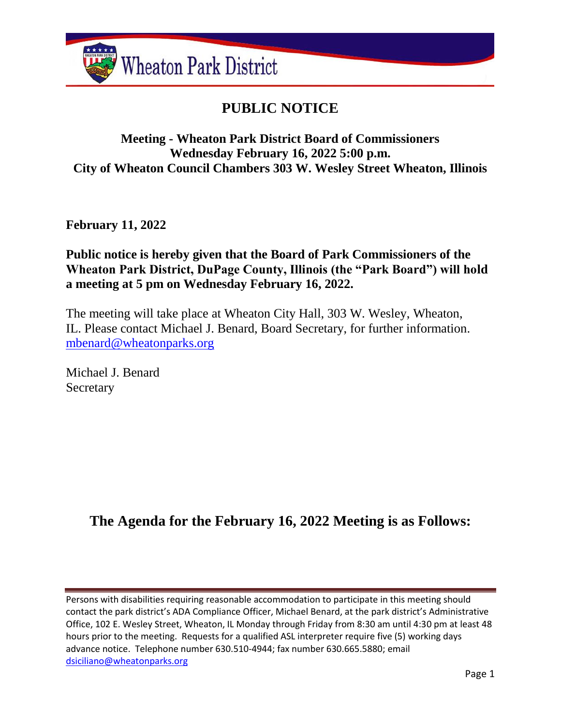

# **PUBLIC NOTICE**

## **Meeting - Wheaton Park District Board of Commissioners Wednesday February 16, 2022 5:00 p.m. City of Wheaton Council Chambers 303 W. Wesley Street Wheaton, Illinois**

**February 11, 2022**

## **Public notice is hereby given that the Board of Park Commissioners of the Wheaton Park District, DuPage County, Illinois (the "Park Board") will hold a meeting at 5 pm on Wednesday February 16, 2022.**

The meeting will take place at Wheaton City Hall, 303 W. Wesley, Wheaton, IL. Please contact Michael J. Benard, Board Secretary, for further information. [mbenard@wheatonparks.org](mailto:mbenard@wheatonparks.org)

Michael J. Benard Secretary

# **The Agenda for the February 16, 2022 Meeting is as Follows:**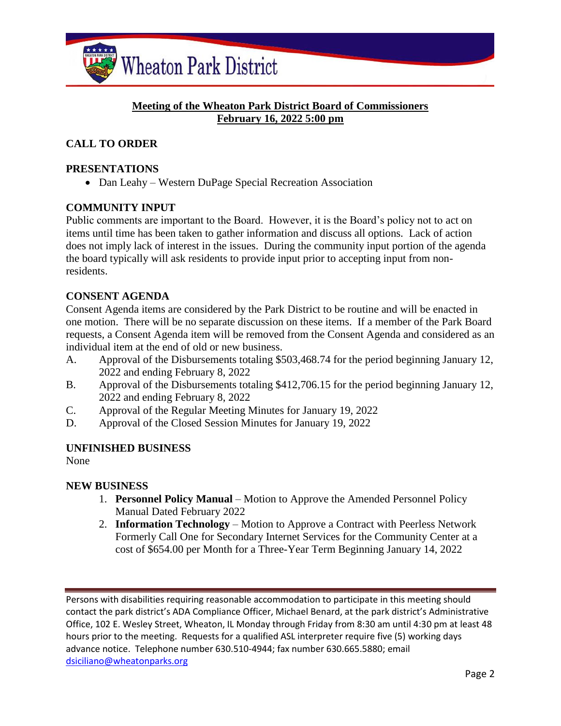

#### **Meeting of the Wheaton Park District Board of Commissioners February 16, 2022 5:00 pm**

### **CALL TO ORDER**

#### **PRESENTATIONS**

• Dan Leahy – Western DuPage Special Recreation Association

#### **COMMUNITY INPUT**

Public comments are important to the Board. However, it is the Board's policy not to act on items until time has been taken to gather information and discuss all options. Lack of action does not imply lack of interest in the issues. During the community input portion of the agenda the board typically will ask residents to provide input prior to accepting input from nonresidents.

#### **CONSENT AGENDA**

Consent Agenda items are considered by the Park District to be routine and will be enacted in one motion. There will be no separate discussion on these items. If a member of the Park Board requests, a Consent Agenda item will be removed from the Consent Agenda and considered as an individual item at the end of old or new business.

- A. Approval of the Disbursements totaling \$503,468.74 for the period beginning January 12, 2022 and ending February 8, 2022
- B. Approval of the Disbursements totaling \$412,706.15 for the period beginning January 12, 2022 and ending February 8, 2022
- C. Approval of the Regular Meeting Minutes for January 19, 2022
- D. Approval of the Closed Session Minutes for January 19, 2022

#### **UNFINISHED BUSINESS**

None

#### **NEW BUSINESS**

- 1. **Personnel Policy Manual** Motion to Approve the Amended Personnel Policy Manual Dated February 2022
- 2. **Information Technology** Motion to Approve a Contract with Peerless Network Formerly Call One for Secondary Internet Services for the Community Center at a cost of \$654.00 per Month for a Three-Year Term Beginning January 14, 2022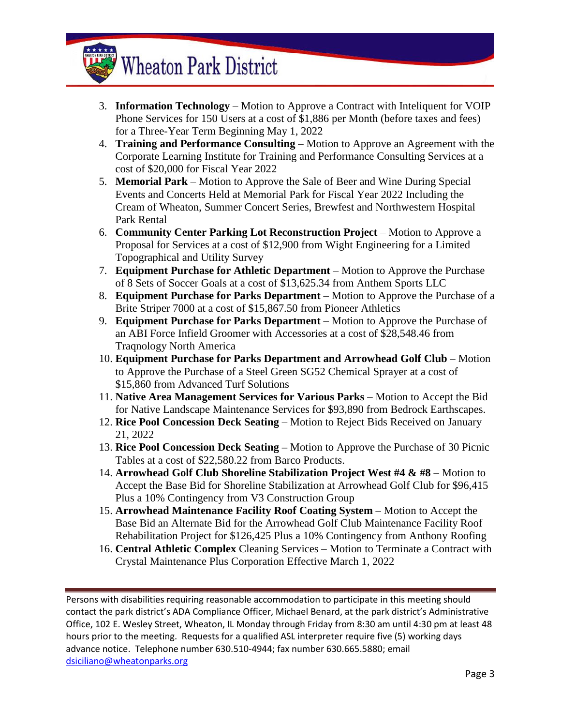# **Wheaton Park District**

- 3. **Information Technology** Motion to Approve a Contract with Inteliquent for VOIP Phone Services for 150 Users at a cost of \$1,886 per Month (before taxes and fees) for a Three-Year Term Beginning May 1, 2022
- 4. **Training and Performance Consulting** Motion to Approve an Agreement with the Corporate Learning Institute for Training and Performance Consulting Services at a cost of \$20,000 for Fiscal Year 2022
- 5. **Memorial Park** Motion to Approve the Sale of Beer and Wine During Special Events and Concerts Held at Memorial Park for Fiscal Year 2022 Including the Cream of Wheaton, Summer Concert Series, Brewfest and Northwestern Hospital Park Rental
- 6. **Community Center Parking Lot Reconstruction Project** Motion to Approve a Proposal for Services at a cost of \$12,900 from Wight Engineering for a Limited Topographical and Utility Survey
- 7. **Equipment Purchase for Athletic Department** Motion to Approve the Purchase of 8 Sets of Soccer Goals at a cost of \$13,625.34 from Anthem Sports LLC
- 8. **Equipment Purchase for Parks Department** Motion to Approve the Purchase of a Brite Striper 7000 at a cost of \$15,867.50 from Pioneer Athletics
- 9. **Equipment Purchase for Parks Department** Motion to Approve the Purchase of an ABI Force Infield Groomer with Accessories at a cost of \$28,548.46 from Traqnology North America
- 10. **Equipment Purchase for Parks Department and Arrowhead Golf Club** Motion to Approve the Purchase of a Steel Green SG52 Chemical Sprayer at a cost of \$15,860 from Advanced Turf Solutions
- 11. **Native Area Management Services for Various Parks** Motion to Accept the Bid for Native Landscape Maintenance Services for \$93,890 from Bedrock Earthscapes.
- 12. **Rice Pool Concession Deck Seating** Motion to Reject Bids Received on January 21, 2022
- 13. **Rice Pool Concession Deck Seating –** Motion to Approve the Purchase of 30 Picnic Tables at a cost of \$22,580.22 from Barco Products.
- 14. **Arrowhead Golf Club Shoreline Stabilization Project West #4 & #8** Motion to Accept the Base Bid for Shoreline Stabilization at Arrowhead Golf Club for \$96,415 Plus a 10% Contingency from V3 Construction Group
- 15. **Arrowhead Maintenance Facility Roof Coating System** Motion to Accept the Base Bid an Alternate Bid for the Arrowhead Golf Club Maintenance Facility Roof Rehabilitation Project for \$126,425 Plus a 10% Contingency from Anthony Roofing
- 16. **Central Athletic Complex** Cleaning Services Motion to Terminate a Contract with Crystal Maintenance Plus Corporation Effective March 1, 2022